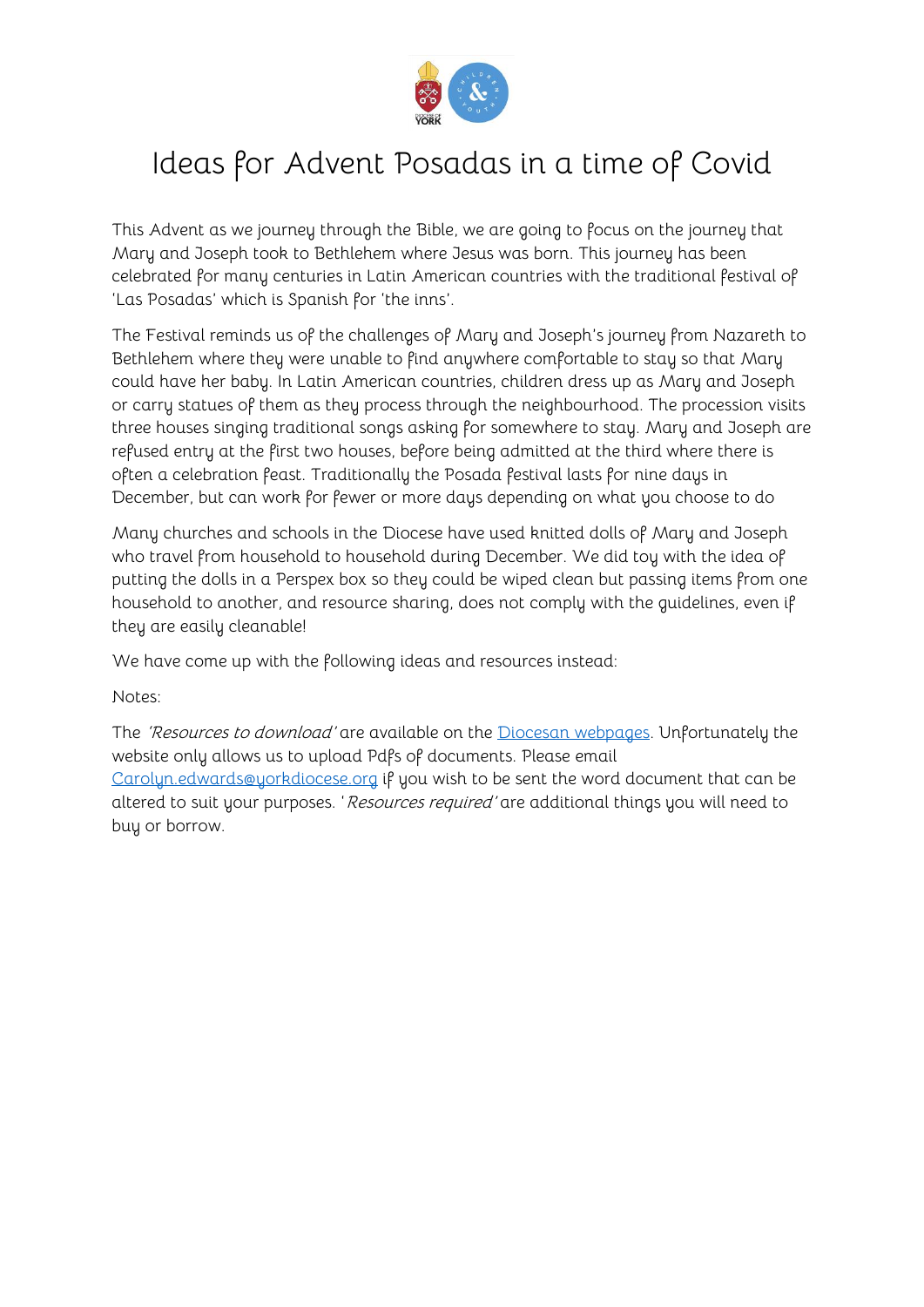

# Ideas for Advent Posadas in a time of Covid

This Advent as we journey through the Bible, we are going to focus on the journey that Mary and Joseph took to Bethlehem where Jesus was born. This journey has been celebrated for many centuries in Latin American countries with the traditional festival of 'Las Posadas' which is Spanish for 'the inns'.

The Festival reminds us of the challenges of Mary and Joseph's journey from Nazareth to Bethlehem where they were unable to find anywhere comfortable to stay so that Mary could have her baby. In Latin American countries, children dress up as Mary and Joseph or carry statues of them as they process through the neighbourhood. The procession visits three houses singing traditional songs asking for somewhere to stay. Mary and Joseph are refused entry at the first two houses, before being admitted at the third where there is often a celebration feast. Traditionally the Posada festival lasts for nine days in December, but can work for fewer or more days depending on what you choose to do

Many churches and schools in the Diocese have used knitted dolls of Mary and Joseph who travel from household to household during December. We did toy with the idea of putting the dolls in a Perspex box so they could be wiped clean but passing items from one household to another, and resource sharing, does not comply with the guidelines, even if they are easily cleanable!

We have come up with the following ideas and resources instead:

Notes:

The 'Resources to download' are available on the [Diocesan webpages.](https://dioceseofyork.org.uk/schools-and-youth/children-young-people-churches/advent-and-christmas-in-a-pandemic/advent-posada-resources/) Unfortunately the website only allows us to upload Pdfs of documents. Please email Carolyn.edwards@uorkdiocese.org if you wish to be sent the word document that can be altered to suit your purposes. 'Resources required' are additional things you will need to buy or borrow.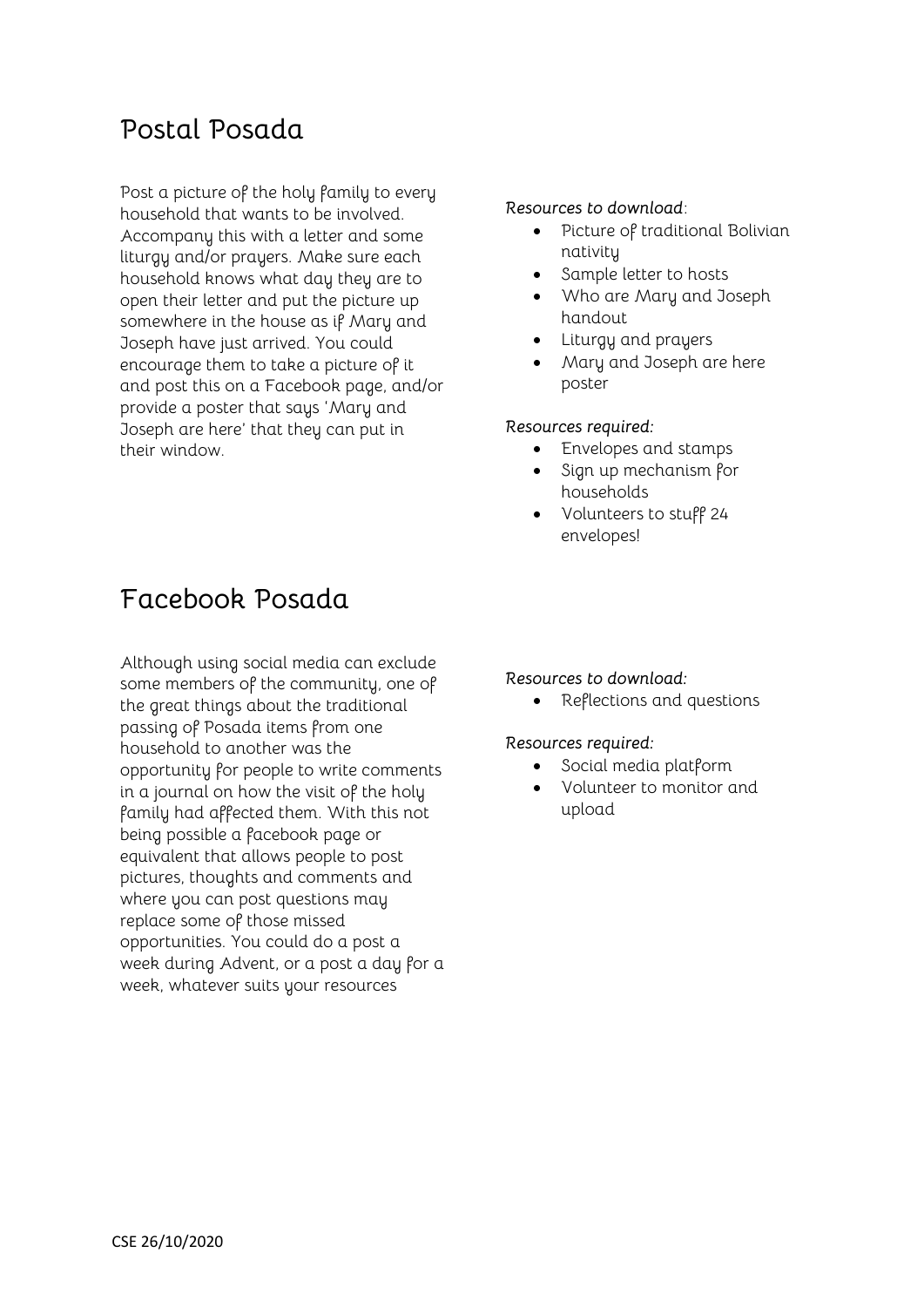### **Postal Posada**

Post a picture of the holy family to every household that wants to be involved. Accompany this with a letter and some liturgy and/or prayers. Make sure each household knows what day they are to open their letter and put the picture up somewhere in the house as if Mary and Joseph have just arrived. You could encourage them to take a picture of it and post this on a Facebook page, and/or provide a poster that says 'Mary and Joseph are here' that they can put in their window.

#### *Resources to download*:

- Picture of traditional Bolivian nativity
- Sample letter to hosts
- Who are Mary and Joseph handout
- Liturgy and prayers
- Mary and Joseph are here poster

#### *Resources required:*

- Envelopes and stamps
- Sign up mechanism for households
- Volunteers to stuff 24 envelopes!

### **Facebook Posada**

Although using social media can exclude some members of the community, one of the great things about the traditional passing of Posada items from one household to another was the opportunity for people to write comments in a journal on how the visit of the holy family had affected them. With this not being possible a facebook page or equivalent that allows people to post pictures, thoughts and comments and where you can post questions may replace some of those missed opportunities. You could do a post a week during Advent, or a post a day for a week, whatever suits your resources

#### *Resources to download:*

• Reflections and questions

#### *Resources required:*

- Social media platform
- Volunteer to monitor and upload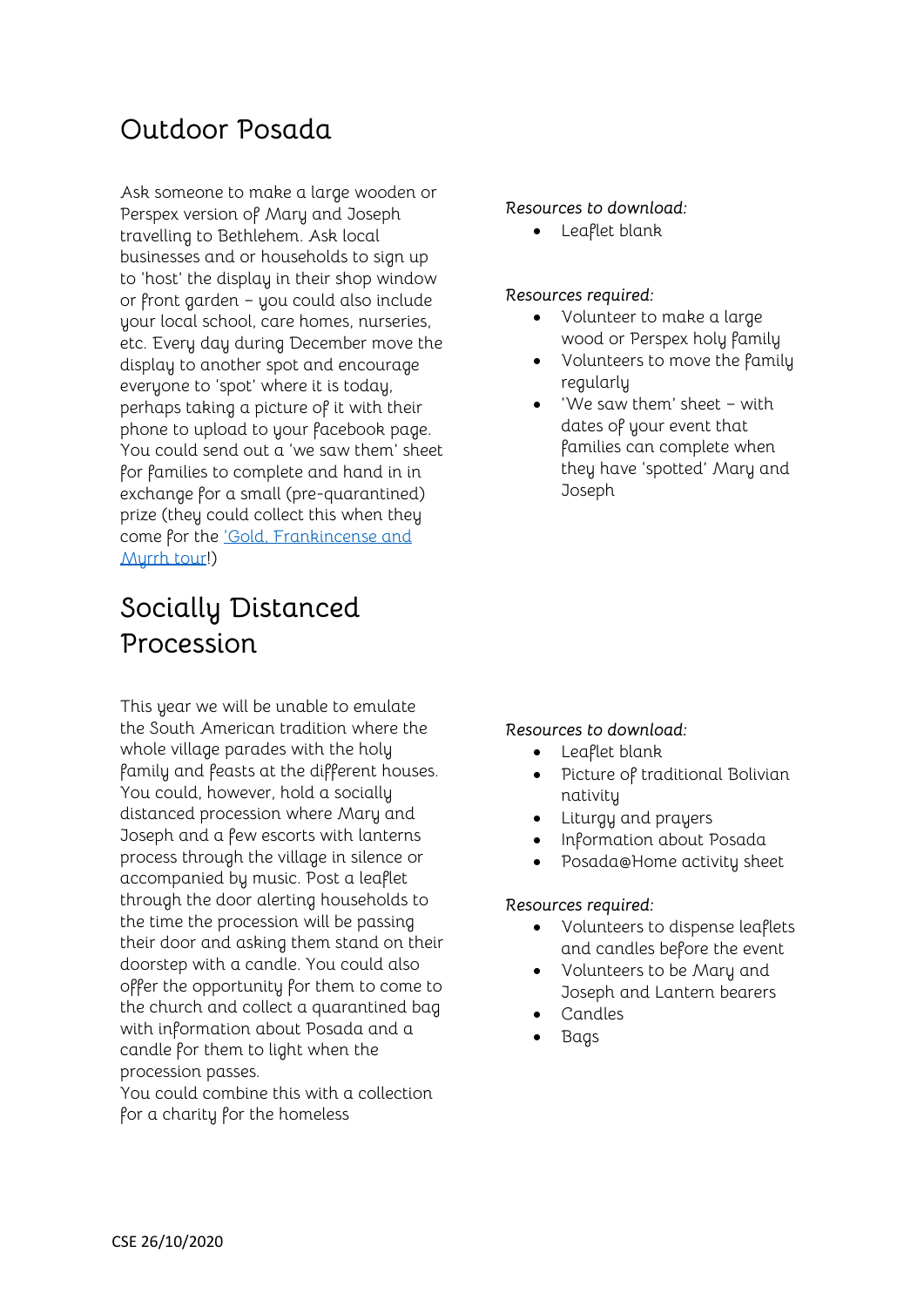### **Outdoor Posada**

Ask someone to make a large wooden or Perspex version of Mary and Joseph travelling to Bethlehem. Ask local businesses and or households to sign up to 'host' the display in their shop window or front garden – you could also include your local school, care homes, nurseries, etc. Every day during December move the display to another spot and encourage everyone to 'spot' where it is today, perhaps taking a picture of it with their phone to upload to your facebook page. You could send out a 'we saw them' sheet for families to complete and hand in in exchange for a small (pre-quarantined) prize (they could collect this when they come for the ['Gold, Frankincense and](https://dioceseofyork.org.uk/schools-and-youth/children-young-people-churches/advent-and-christmas-in-a-pandemic/gold-frankincense-and-myrrh/)  [Myrrh tour!](https://dioceseofyork.org.uk/schools-and-youth/children-young-people-churches/advent-and-christmas-in-a-pandemic/gold-frankincense-and-myrrh/))

## **Socially Distanced Procession**

This year we will be unable to emulate the South American tradition where the whole village parades with the holy family and feasts at the different houses. You could, however, hold a socially distanced procession where Mary and Joseph and a few escorts with lanterns process through the village in silence or accompanied by music. Post a leaflet through the door alerting households to the time the procession will be passing their door and asking them stand on their doorstep with a candle. You could also offer the opportunity for them to come to the church and collect a quarantined bag with information about Posada and a candle for them to light when the procession passes.

You could combine this with a collection for a charity for the homeless

#### *Resources to download:*

Leaflet blank

#### *Resources required:*

- Volunteer to make a large wood or Perspex holy family
- Volunteers to move the family regularly
- 'We saw them' sheet with dates of your event that families can complete when they have 'spotted' Mary and **Joseph**

#### *Resources to download:*

- Leaflet blank
- Picture of traditional Bolivian nativity
- Liturgy and prayers
- Information about Posada
- Posada@Home activity sheet

#### *Resources required:*

- Volunteers to dispense leaflets and candles before the event
- Volunteers to be Mary and Joseph and Lantern bearers
- Candles
- Bags